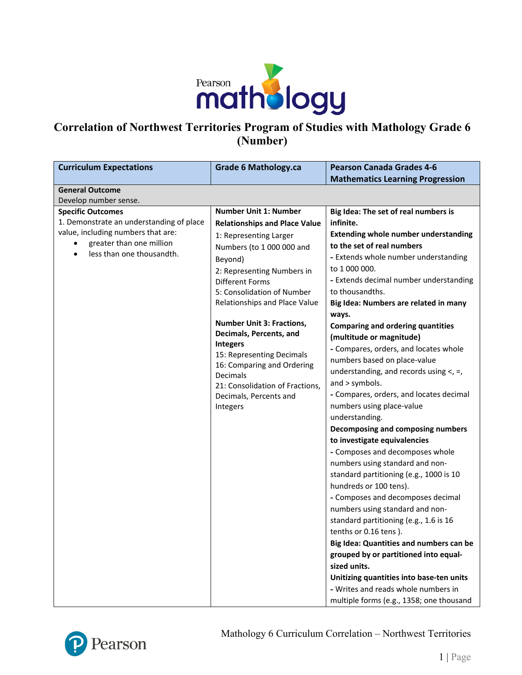

# **Correlation of Northwest Territories Program of Studies with Mathology Grade 6 (Number)**

| <b>Curriculum Expectations</b>           | <b>Grade 6 Mathology.ca</b>                   | <b>Pearson Canada Grades 4-6</b>            |
|------------------------------------------|-----------------------------------------------|---------------------------------------------|
|                                          |                                               | <b>Mathematics Learning Progression</b>     |
| <b>General Outcome</b>                   |                                               |                                             |
| Develop number sense.                    |                                               |                                             |
| <b>Specific Outcomes</b>                 | <b>Number Unit 1: Number</b>                  | Big Idea: The set of real numbers is        |
| 1. Demonstrate an understanding of place | <b>Relationships and Place Value</b>          | infinite.                                   |
| value, including numbers that are:       | 1: Representing Larger                        | <b>Extending whole number understanding</b> |
| greater than one million                 | Numbers (to 1 000 000 and                     | to the set of real numbers                  |
| less than one thousandth.<br>$\bullet$   | Beyond)                                       | - Extends whole number understanding        |
|                                          | 2: Representing Numbers in                    | to 1 000 000.                               |
|                                          | <b>Different Forms</b>                        | - Extends decimal number understanding      |
|                                          | 5: Consolidation of Number                    | to thousandths.                             |
|                                          | Relationships and Place Value                 | Big Idea: Numbers are related in many       |
|                                          |                                               | ways.                                       |
|                                          | <b>Number Unit 3: Fractions,</b>              | <b>Comparing and ordering quantities</b>    |
|                                          | Decimals, Percents, and                       | (multitude or magnitude)                    |
|                                          | <b>Integers</b>                               | - Compares, orders, and locates whole       |
|                                          | 15: Representing Decimals                     | numbers based on place-value                |
|                                          | 16: Comparing and Ordering<br><b>Decimals</b> | understanding, and records using $\lt$ , =, |
|                                          | 21: Consolidation of Fractions,               | and > symbols.                              |
|                                          | Decimals, Percents and                        | - Compares, orders, and locates decimal     |
|                                          | Integers                                      | numbers using place-value                   |
|                                          |                                               | understanding.                              |
|                                          |                                               | Decomposing and composing numbers           |
|                                          |                                               | to investigate equivalencies                |
|                                          |                                               | - Composes and decomposes whole             |
|                                          |                                               | numbers using standard and non-             |
|                                          |                                               | standard partitioning (e.g., 1000 is 10     |
|                                          |                                               | hundreds or 100 tens).                      |
|                                          |                                               | - Composes and decomposes decimal           |
|                                          |                                               | numbers using standard and non-             |
|                                          |                                               | standard partitioning (e.g., 1.6 is 16      |
|                                          |                                               | tenths or 0.16 tens).                       |
|                                          |                                               | Big Idea: Quantities and numbers can be     |
|                                          |                                               | grouped by or partitioned into equal-       |
|                                          |                                               | sized units.                                |
|                                          |                                               | Unitizing quantities into base-ten units    |
|                                          |                                               | - Writes and reads whole numbers in         |
|                                          |                                               | multiple forms (e.g., 1358; one thousand    |

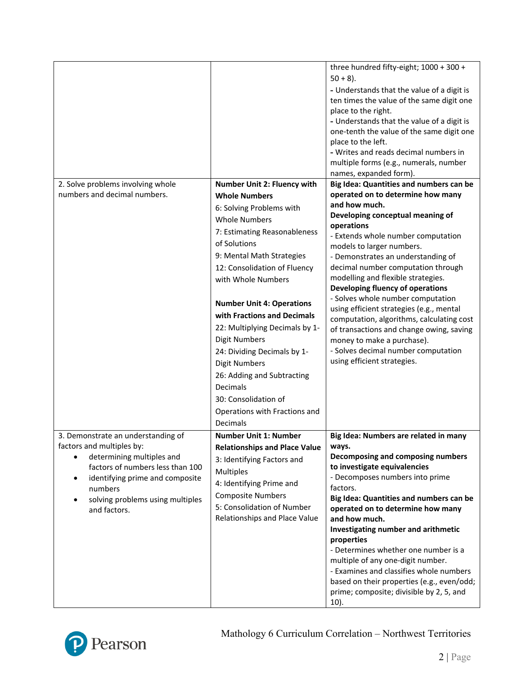|                                                        |                                                                                                                                                                                                                                                                                                 | three hundred fifty-eight; 1000 + 300 +<br>$50 + 8$ ).<br>- Understands that the value of a digit is<br>ten times the value of the same digit one<br>place to the right.<br>- Understands that the value of a digit is<br>one-tenth the value of the same digit one<br>place to the left. |
|--------------------------------------------------------|-------------------------------------------------------------------------------------------------------------------------------------------------------------------------------------------------------------------------------------------------------------------------------------------------|-------------------------------------------------------------------------------------------------------------------------------------------------------------------------------------------------------------------------------------------------------------------------------------------|
|                                                        |                                                                                                                                                                                                                                                                                                 | - Writes and reads decimal numbers in<br>multiple forms (e.g., numerals, number                                                                                                                                                                                                           |
| 2. Solve problems involving whole                      | <b>Number Unit 2: Fluency with</b>                                                                                                                                                                                                                                                              | names, expanded form).<br>Big Idea: Quantities and numbers can be                                                                                                                                                                                                                         |
| numbers and decimal numbers.                           | <b>Whole Numbers</b>                                                                                                                                                                                                                                                                            | operated on to determine how many                                                                                                                                                                                                                                                         |
|                                                        | 6: Solving Problems with                                                                                                                                                                                                                                                                        | and how much.                                                                                                                                                                                                                                                                             |
|                                                        | <b>Whole Numbers</b>                                                                                                                                                                                                                                                                            | Developing conceptual meaning of<br>operations                                                                                                                                                                                                                                            |
|                                                        | 7: Estimating Reasonableness                                                                                                                                                                                                                                                                    | - Extends whole number computation                                                                                                                                                                                                                                                        |
|                                                        | of Solutions                                                                                                                                                                                                                                                                                    | models to larger numbers.                                                                                                                                                                                                                                                                 |
|                                                        | 9: Mental Math Strategies<br>12: Consolidation of Fluency                                                                                                                                                                                                                                       | - Demonstrates an understanding of<br>decimal number computation through                                                                                                                                                                                                                  |
|                                                        | with Whole Numbers                                                                                                                                                                                                                                                                              | modelling and flexible strategies.<br>Developing fluency of operations                                                                                                                                                                                                                    |
|                                                        | <b>Number Unit 4: Operations</b><br>with Fractions and Decimals<br>22: Multiplying Decimals by 1-<br><b>Digit Numbers</b><br>24: Dividing Decimals by 1-<br><b>Digit Numbers</b><br>26: Adding and Subtracting<br>Decimals<br>30: Consolidation of<br>Operations with Fractions and<br>Decimals | - Solves whole number computation<br>using efficient strategies (e.g., mental<br>computation, algorithms, calculating cost<br>of transactions and change owing, saving<br>money to make a purchase).<br>- Solves decimal number computation<br>using efficient strategies.                |
| 3. Demonstrate an understanding of                     | <b>Number Unit 1: Number</b>                                                                                                                                                                                                                                                                    | Big Idea: Numbers are related in many                                                                                                                                                                                                                                                     |
| factors and multiples by:<br>determining multiples and | <b>Relationships and Place Value</b>                                                                                                                                                                                                                                                            | ways.<br>Decomposing and composing numbers                                                                                                                                                                                                                                                |
| factors of numbers less than 100                       | 3: Identifying Factors and<br><b>Multiples</b>                                                                                                                                                                                                                                                  | to investigate equivalencies                                                                                                                                                                                                                                                              |
| identifying prime and composite                        | 4: Identifying Prime and                                                                                                                                                                                                                                                                        | - Decomposes numbers into prime                                                                                                                                                                                                                                                           |
| numbers                                                | <b>Composite Numbers</b>                                                                                                                                                                                                                                                                        | factors.<br>Big Idea: Quantities and numbers can be                                                                                                                                                                                                                                       |
| solving problems using multiples<br>and factors.       | 5: Consolidation of Number                                                                                                                                                                                                                                                                      | operated on to determine how many                                                                                                                                                                                                                                                         |
|                                                        | Relationships and Place Value                                                                                                                                                                                                                                                                   | and how much.                                                                                                                                                                                                                                                                             |
|                                                        |                                                                                                                                                                                                                                                                                                 | Investigating number and arithmetic<br>properties                                                                                                                                                                                                                                         |
|                                                        |                                                                                                                                                                                                                                                                                                 | - Determines whether one number is a                                                                                                                                                                                                                                                      |
|                                                        |                                                                                                                                                                                                                                                                                                 | multiple of any one-digit number.                                                                                                                                                                                                                                                         |
|                                                        |                                                                                                                                                                                                                                                                                                 | - Examines and classifies whole numbers<br>based on their properties (e.g., even/odd;<br>prime; composite; divisible by 2, 5, and<br>10).                                                                                                                                                 |
|                                                        |                                                                                                                                                                                                                                                                                                 |                                                                                                                                                                                                                                                                                           |

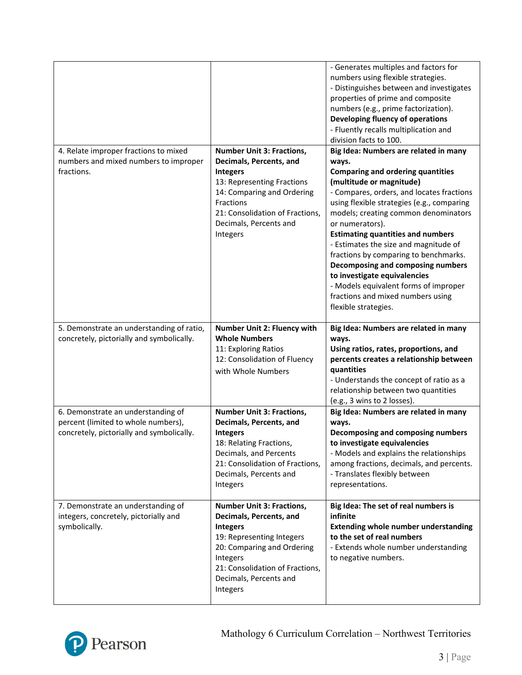|                                                                                                                        |                                                                                                                                                                                                                                  | - Generates multiples and factors for<br>numbers using flexible strategies.<br>- Distinguishes between and investigates<br>properties of prime and composite<br>numbers (e.g., prime factorization).<br>Developing fluency of operations<br>- Fluently recalls multiplication and<br>division facts to 100.                                                                                                                                                                                                                                                                           |
|------------------------------------------------------------------------------------------------------------------------|----------------------------------------------------------------------------------------------------------------------------------------------------------------------------------------------------------------------------------|---------------------------------------------------------------------------------------------------------------------------------------------------------------------------------------------------------------------------------------------------------------------------------------------------------------------------------------------------------------------------------------------------------------------------------------------------------------------------------------------------------------------------------------------------------------------------------------|
| 4. Relate improper fractions to mixed<br>numbers and mixed numbers to improper<br>fractions.                           | <b>Number Unit 3: Fractions,</b><br>Decimals, Percents, and<br><b>Integers</b><br>13: Representing Fractions<br>14: Comparing and Ordering<br>Fractions<br>21: Consolidation of Fractions,<br>Decimals, Percents and<br>Integers | Big Idea: Numbers are related in many<br>ways.<br><b>Comparing and ordering quantities</b><br>(multitude or magnitude)<br>- Compares, orders, and locates fractions<br>using flexible strategies (e.g., comparing<br>models; creating common denominators<br>or numerators).<br><b>Estimating quantities and numbers</b><br>- Estimates the size and magnitude of<br>fractions by comparing to benchmarks.<br>Decomposing and composing numbers<br>to investigate equivalencies<br>- Models equivalent forms of improper<br>fractions and mixed numbers using<br>flexible strategies. |
| 5. Demonstrate an understanding of ratio,<br>concretely, pictorially and symbolically.                                 | <b>Number Unit 2: Fluency with</b><br><b>Whole Numbers</b><br>11: Exploring Ratios<br>12: Consolidation of Fluency<br>with Whole Numbers                                                                                         | Big Idea: Numbers are related in many<br>ways.<br>Using ratios, rates, proportions, and<br>percents creates a relationship between<br>quantities<br>- Understands the concept of ratio as a<br>relationship between two quantities<br>(e.g., 3 wins to 2 losses).                                                                                                                                                                                                                                                                                                                     |
| 6. Demonstrate an understanding of<br>percent (limited to whole numbers),<br>concretely, pictorially and symbolically. | <b>Number Unit 3: Fractions,</b><br>Decimals, Percents, and<br><b>Integers</b><br>18: Relating Fractions,<br>Decimals, and Percents<br>21: Consolidation of Fractions,<br>Decimals, Percents and<br>Integers                     | Big Idea: Numbers are related in many<br>ways.<br>Decomposing and composing numbers<br>to investigate equivalencies<br>- Models and explains the relationships<br>among fractions, decimals, and percents.<br>- Translates flexibly between<br>representations.                                                                                                                                                                                                                                                                                                                       |
| 7. Demonstrate an understanding of<br>integers, concretely, pictorially and<br>symbolically.                           | <b>Number Unit 3: Fractions,</b><br>Decimals, Percents, and<br><b>Integers</b><br>19: Representing Integers<br>20: Comparing and Ordering<br>Integers<br>21: Consolidation of Fractions,<br>Decimals, Percents and<br>Integers   | Big Idea: The set of real numbers is<br>infinite<br><b>Extending whole number understanding</b><br>to the set of real numbers<br>- Extends whole number understanding<br>to negative numbers.                                                                                                                                                                                                                                                                                                                                                                                         |

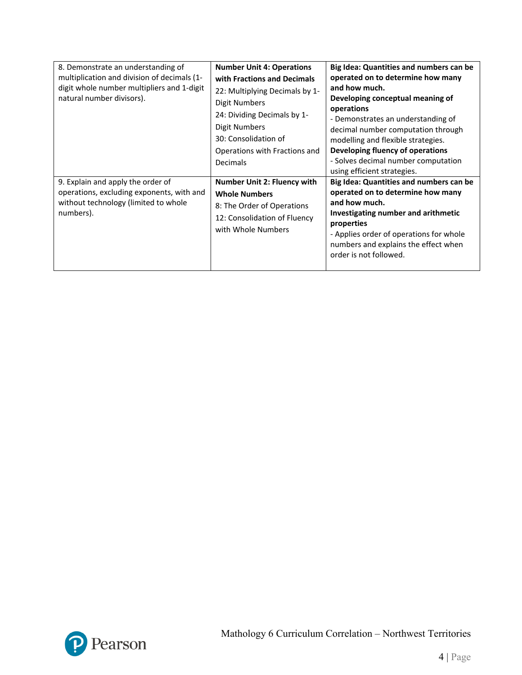| 8. Demonstrate an understanding of<br>multiplication and division of decimals (1-<br>digit whole number multipliers and 1-digit<br>natural number divisors). | <b>Number Unit 4: Operations</b><br>with Fractions and Decimals<br>22: Multiplying Decimals by 1-<br>Digit Numbers<br>24: Dividing Decimals by 1-<br>Digit Numbers<br>30: Consolidation of<br>Operations with Fractions and<br>Decimals | Big Idea: Quantities and numbers can be<br>operated on to determine how many<br>and how much.<br>Developing conceptual meaning of<br>operations<br>- Demonstrates an understanding of<br>decimal number computation through<br>modelling and flexible strategies.<br>Developing fluency of operations<br>- Solves decimal number computation<br>using efficient strategies. |
|--------------------------------------------------------------------------------------------------------------------------------------------------------------|-----------------------------------------------------------------------------------------------------------------------------------------------------------------------------------------------------------------------------------------|-----------------------------------------------------------------------------------------------------------------------------------------------------------------------------------------------------------------------------------------------------------------------------------------------------------------------------------------------------------------------------|
| 9. Explain and apply the order of<br>operations, excluding exponents, with and<br>without technology (limited to whole<br>numbers).                          | Number Unit 2: Fluency with<br><b>Whole Numbers</b><br>8: The Order of Operations<br>12: Consolidation of Fluency<br>with Whole Numbers                                                                                                 | Big Idea: Quantities and numbers can be<br>operated on to determine how many<br>and how much.<br>Investigating number and arithmetic<br>properties<br>- Applies order of operations for whole<br>numbers and explains the effect when<br>order is not followed.                                                                                                             |

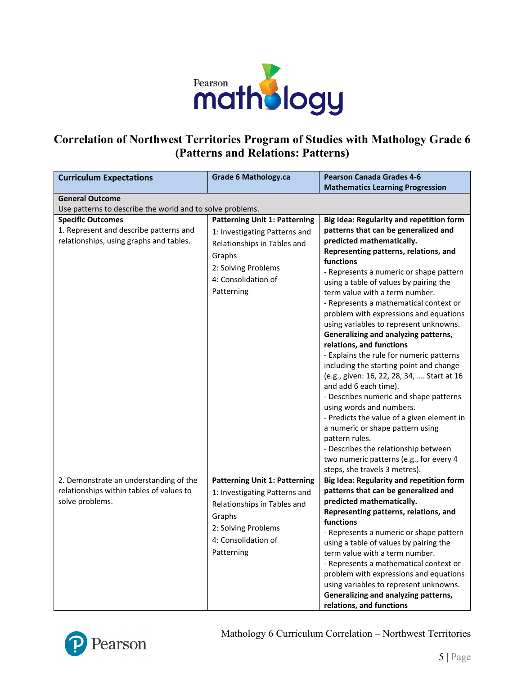

#### **Correlation of Northwest Territories Program of Studies with Mathology Grade 6 (Patterns and Relations: Patterns)**

| <b>Curriculum Expectations</b>                            | <b>Grade 6 Mathology.ca</b>          | <b>Pearson Canada Grades 4-6</b>                                                      |
|-----------------------------------------------------------|--------------------------------------|---------------------------------------------------------------------------------------|
|                                                           |                                      | <b>Mathematics Learning Progression</b>                                               |
| <b>General Outcome</b>                                    |                                      |                                                                                       |
| Use patterns to describe the world and to solve problems. |                                      |                                                                                       |
| <b>Specific Outcomes</b>                                  | <b>Patterning Unit 1: Patterning</b> | Big Idea: Regularity and repetition form                                              |
| 1. Represent and describe patterns and                    | 1: Investigating Patterns and        | patterns that can be generalized and                                                  |
| relationships, using graphs and tables.                   | Relationships in Tables and          | predicted mathematically.                                                             |
|                                                           | Graphs                               | Representing patterns, relations, and                                                 |
|                                                           | 2: Solving Problems                  | functions                                                                             |
|                                                           | 4: Consolidation of                  | - Represents a numeric or shape pattern                                               |
|                                                           | Patterning                           | using a table of values by pairing the                                                |
|                                                           |                                      | term value with a term number.                                                        |
|                                                           |                                      | - Represents a mathematical context or                                                |
|                                                           |                                      | problem with expressions and equations                                                |
|                                                           |                                      | using variables to represent unknowns.                                                |
|                                                           |                                      | Generalizing and analyzing patterns,                                                  |
|                                                           |                                      | relations, and functions                                                              |
|                                                           |                                      | - Explains the rule for numeric patterns                                              |
|                                                           |                                      | including the starting point and change<br>(e.g., given: 16, 22, 28, 34,  Start at 16 |
|                                                           |                                      | and add 6 each time).                                                                 |
|                                                           |                                      | - Describes numeric and shape patterns                                                |
|                                                           |                                      | using words and numbers.                                                              |
|                                                           |                                      | - Predicts the value of a given element in                                            |
|                                                           |                                      | a numeric or shape pattern using                                                      |
|                                                           |                                      | pattern rules.                                                                        |
|                                                           |                                      | - Describes the relationship between                                                  |
|                                                           |                                      | two numeric patterns (e.g., for every 4                                               |
|                                                           |                                      | steps, she travels 3 metres).                                                         |
| 2. Demonstrate an understanding of the                    | <b>Patterning Unit 1: Patterning</b> | Big Idea: Regularity and repetition form                                              |
| relationships within tables of values to                  | 1: Investigating Patterns and        | patterns that can be generalized and                                                  |
| solve problems.                                           | Relationships in Tables and          | predicted mathematically.                                                             |
|                                                           |                                      | Representing patterns, relations, and                                                 |
|                                                           | Graphs                               | functions                                                                             |
|                                                           | 2: Solving Problems                  | - Represents a numeric or shape pattern                                               |
|                                                           | 4: Consolidation of                  | using a table of values by pairing the                                                |
|                                                           | Patterning                           | term value with a term number.                                                        |
|                                                           |                                      | - Represents a mathematical context or                                                |
|                                                           |                                      | problem with expressions and equations                                                |
|                                                           |                                      | using variables to represent unknowns.                                                |
|                                                           |                                      | Generalizing and analyzing patterns,                                                  |
|                                                           |                                      | relations, and functions                                                              |



Mathology 6 Curriculum Correlation – Northwest Territories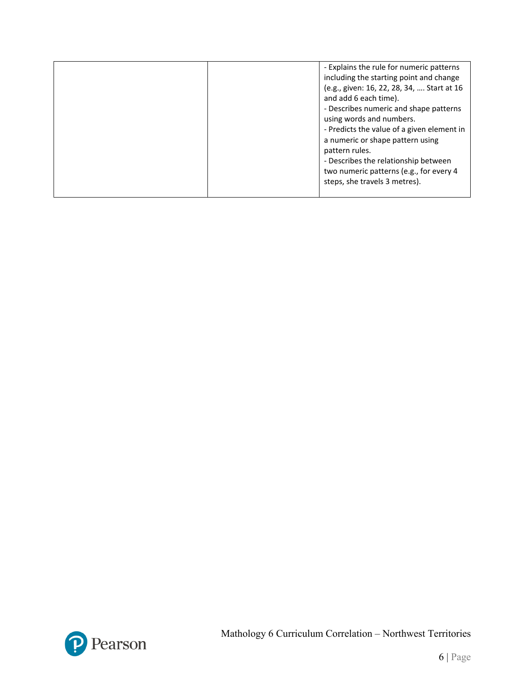| - Explains the rule for numeric patterns<br>including the starting point and change<br>(e.g., given: 16, 22, 28, 34,  Start at 16<br>and add 6 each time).<br>- Describes numeric and shape patterns<br>using words and numbers.<br>- Predicts the value of a given element in<br>a numeric or shape pattern using<br>pattern rules.<br>- Describes the relationship between<br>two numeric patterns (e.g., for every 4<br>steps, she travels 3 metres). |
|----------------------------------------------------------------------------------------------------------------------------------------------------------------------------------------------------------------------------------------------------------------------------------------------------------------------------------------------------------------------------------------------------------------------------------------------------------|
|                                                                                                                                                                                                                                                                                                                                                                                                                                                          |

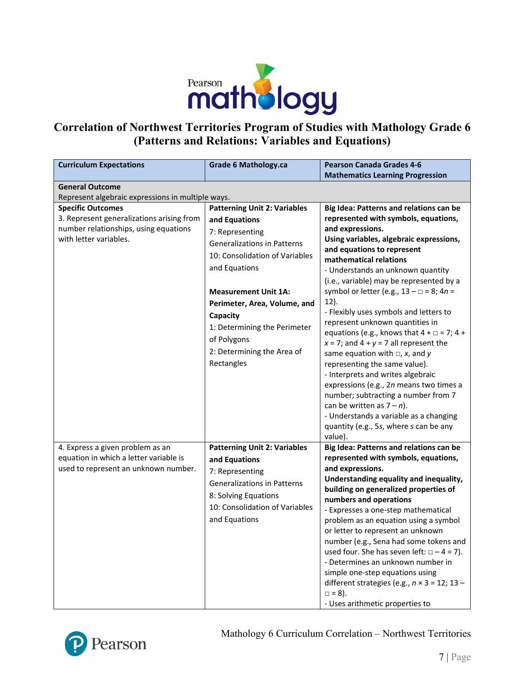

# **Correlation of Northwest Territories Program of Studies with Mathology Grade 6 (Patterns and Relations: Variables and Equations)**

| <b>Curriculum Expectations</b>                                                                                                           | <b>Grade 6 Mathology.ca</b>                                                                                                                                                                                                                                                         | <b>Pearson Canada Grades 4-6</b>                                                                                                                                                                                                                                                                                                                                                                                                                                                                                                                                                                                        |
|------------------------------------------------------------------------------------------------------------------------------------------|-------------------------------------------------------------------------------------------------------------------------------------------------------------------------------------------------------------------------------------------------------------------------------------|-------------------------------------------------------------------------------------------------------------------------------------------------------------------------------------------------------------------------------------------------------------------------------------------------------------------------------------------------------------------------------------------------------------------------------------------------------------------------------------------------------------------------------------------------------------------------------------------------------------------------|
|                                                                                                                                          |                                                                                                                                                                                                                                                                                     | <b>Mathematics Learning Progression</b>                                                                                                                                                                                                                                                                                                                                                                                                                                                                                                                                                                                 |
| <b>General Outcome</b><br>Represent algebraic expressions in multiple ways.                                                              |                                                                                                                                                                                                                                                                                     |                                                                                                                                                                                                                                                                                                                                                                                                                                                                                                                                                                                                                         |
| <b>Specific Outcomes</b><br>3. Represent generalizations arising from<br>number relationships, using equations<br>with letter variables. | <b>Patterning Unit 2: Variables</b><br>and Equations<br>7: Representing<br>Generalizations in Patterns<br>10: Consolidation of Variables<br>and Equations<br><b>Measurement Unit 1A:</b><br>Perimeter, Area, Volume, and<br>Capacity<br>1: Determining the Perimeter<br>of Polygons | Big Idea: Patterns and relations can be<br>represented with symbols, equations,<br>and expressions.<br>Using variables, algebraic expressions,<br>and equations to represent<br>mathematical relations<br>- Understands an unknown quantity<br>(i.e., variable) may be represented by a<br>symbol or letter (e.g., $13 - \square = 8$ ; $4n =$<br>12).<br>- Flexibly uses symbols and letters to<br>represent unknown quantities in<br>equations (e.g., knows that $4 + \square = 7$ ; $4 +$<br>$x = 7$ ; and $4 + y = 7$ all represent the                                                                             |
|                                                                                                                                          | 2: Determining the Area of<br>Rectangles                                                                                                                                                                                                                                            | same equation with $\Box$ , x, and y<br>representing the same value).<br>- Interprets and writes algebraic<br>expressions (e.g., 2n means two times a<br>number; subtracting a number from 7<br>can be written as $7 - n$ ).<br>- Understands a variable as a changing<br>quantity (e.g., 5s, where s can be any<br>value).                                                                                                                                                                                                                                                                                             |
| 4. Express a given problem as an<br>equation in which a letter variable is<br>used to represent an unknown number.                       | <b>Patterning Unit 2: Variables</b><br>and Equations<br>7: Representing<br><b>Generalizations in Patterns</b><br>8: Solving Equations<br>10: Consolidation of Variables<br>and Equations                                                                                            | Big Idea: Patterns and relations can be<br>represented with symbols, equations,<br>and expressions.<br>Understanding equality and inequality,<br>building on generalized properties of<br>numbers and operations<br>- Expresses a one-step mathematical<br>problem as an equation using a symbol<br>or letter to represent an unknown<br>number (e.g., Sena had some tokens and<br>used four. She has seven left: $\Box - 4 = 7$ ).<br>- Determines an unknown number in<br>simple one-step equations using<br>different strategies (e.g., $n \times 3 = 12$ ; 13 -<br>$\Box = 8$ ).<br>- Uses arithmetic properties to |

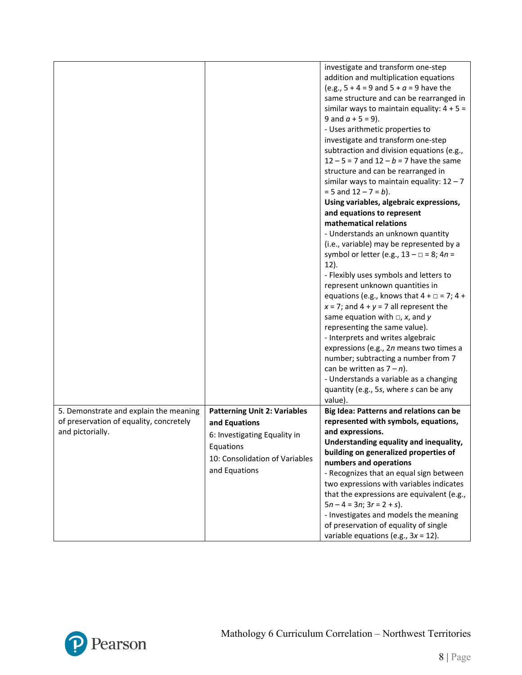|                                         |                                     | investigate and transform one-step                    |
|-----------------------------------------|-------------------------------------|-------------------------------------------------------|
|                                         |                                     | addition and multiplication equations                 |
|                                         |                                     | (e.g., $5 + 4 = 9$ and $5 + a = 9$ have the           |
|                                         |                                     | same structure and can be rearranged in               |
|                                         |                                     | similar ways to maintain equality: $4 + 5 =$          |
|                                         |                                     | 9 and $a + 5 = 9$ ).                                  |
|                                         |                                     | - Uses arithmetic properties to                       |
|                                         |                                     | investigate and transform one-step                    |
|                                         |                                     | subtraction and division equations (e.g.,             |
|                                         |                                     | $12 - 5 = 7$ and $12 - b = 7$ have the same           |
|                                         |                                     | structure and can be rearranged in                    |
|                                         |                                     | similar ways to maintain equality: $12 - 7$           |
|                                         |                                     | $= 5$ and $12 - 7 = b$ ).                             |
|                                         |                                     | Using variables, algebraic expressions,               |
|                                         |                                     | and equations to represent                            |
|                                         |                                     | mathematical relations                                |
|                                         |                                     |                                                       |
|                                         |                                     | - Understands an unknown quantity                     |
|                                         |                                     | (i.e., variable) may be represented by a              |
|                                         |                                     | symbol or letter (e.g., $13 - \square = 8$ ; $4n =$   |
|                                         |                                     | $12$ ).                                               |
|                                         |                                     | - Flexibly uses symbols and letters to                |
|                                         |                                     | represent unknown quantities in                       |
|                                         |                                     | equations (e.g., knows that $4 + \square = 7$ ; $4 +$ |
|                                         |                                     | $x = 7$ ; and $4 + y = 7$ all represent the           |
|                                         |                                     | same equation with $\Box$ , x, and y                  |
|                                         |                                     | representing the same value).                         |
|                                         |                                     | - Interprets and writes algebraic                     |
|                                         |                                     | expressions (e.g., 2n means two times a               |
|                                         |                                     | number; subtracting a number from 7                   |
|                                         |                                     | can be written as $7 - n$ ).                          |
|                                         |                                     | - Understands a variable as a changing                |
|                                         |                                     | quantity (e.g., 5s, where s can be any                |
|                                         |                                     | value).                                               |
| 5. Demonstrate and explain the meaning  | <b>Patterning Unit 2: Variables</b> | Big Idea: Patterns and relations can be               |
| of preservation of equality, concretely | and Equations                       | represented with symbols, equations,                  |
| and pictorially.                        | 6: Investigating Equality in        | and expressions.                                      |
|                                         |                                     | Understanding equality and inequality,                |
|                                         | Equations                           | building on generalized properties of                 |
|                                         | 10: Consolidation of Variables      | numbers and operations                                |
|                                         | and Equations                       | - Recognizes that an equal sign between               |
|                                         |                                     | two expressions with variables indicates              |
|                                         |                                     | that the expressions are equivalent (e.g.,            |
|                                         |                                     | $5n - 4 = 3n$ ; $3r = 2 + s$ ).                       |
|                                         |                                     | - Investigates and models the meaning                 |
|                                         |                                     | of preservation of equality of single                 |
|                                         |                                     | variable equations (e.g., $3x = 12$ ).                |

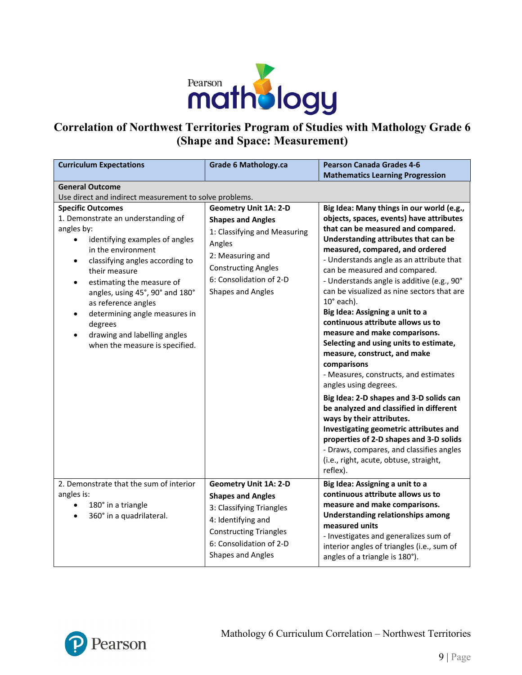

# **Correlation of Northwest Territories Program of Studies with Mathology Grade 6 (Shape and Space: Measurement)**

| <b>Curriculum Expectations</b>                                                                                                                                                                                                                                                                                                                                                                | <b>Grade 6 Mathology.ca</b>                                                                                                                                                                                 | <b>Pearson Canada Grades 4-6</b><br><b>Mathematics Learning Progression</b>                                                                                                                                                                                                                                                                                                                                                                                                                                                                                                                                                                                                                                                                                                                                                                                                                                                                                                        |
|-----------------------------------------------------------------------------------------------------------------------------------------------------------------------------------------------------------------------------------------------------------------------------------------------------------------------------------------------------------------------------------------------|-------------------------------------------------------------------------------------------------------------------------------------------------------------------------------------------------------------|------------------------------------------------------------------------------------------------------------------------------------------------------------------------------------------------------------------------------------------------------------------------------------------------------------------------------------------------------------------------------------------------------------------------------------------------------------------------------------------------------------------------------------------------------------------------------------------------------------------------------------------------------------------------------------------------------------------------------------------------------------------------------------------------------------------------------------------------------------------------------------------------------------------------------------------------------------------------------------|
| <b>General Outcome</b>                                                                                                                                                                                                                                                                                                                                                                        |                                                                                                                                                                                                             |                                                                                                                                                                                                                                                                                                                                                                                                                                                                                                                                                                                                                                                                                                                                                                                                                                                                                                                                                                                    |
| Use direct and indirect measurement to solve problems.                                                                                                                                                                                                                                                                                                                                        |                                                                                                                                                                                                             |                                                                                                                                                                                                                                                                                                                                                                                                                                                                                                                                                                                                                                                                                                                                                                                                                                                                                                                                                                                    |
| <b>Specific Outcomes</b><br>1. Demonstrate an understanding of<br>angles by:<br>identifying examples of angles<br>in the environment<br>classifying angles according to<br>their measure<br>estimating the measure of<br>angles, using 45°, 90° and 180°<br>as reference angles<br>determining angle measures in<br>degrees<br>drawing and labelling angles<br>when the measure is specified. | <b>Geometry Unit 1A: 2-D</b><br><b>Shapes and Angles</b><br>1: Classifying and Measuring<br>Angles<br>2: Measuring and<br><b>Constructing Angles</b><br>6: Consolidation of 2-D<br><b>Shapes and Angles</b> | Big Idea: Many things in our world (e.g.,<br>objects, spaces, events) have attributes<br>that can be measured and compared.<br>Understanding attributes that can be<br>measured, compared, and ordered<br>- Understands angle as an attribute that<br>can be measured and compared.<br>- Understands angle is additive (e.g., 90°<br>can be visualized as nine sectors that are<br>$10^\circ$ each).<br>Big Idea: Assigning a unit to a<br>continuous attribute allows us to<br>measure and make comparisons.<br>Selecting and using units to estimate,<br>measure, construct, and make<br>comparisons<br>- Measures, constructs, and estimates<br>angles using degrees.<br>Big Idea: 2-D shapes and 3-D solids can<br>be analyzed and classified in different<br>ways by their attributes.<br>Investigating geometric attributes and<br>properties of 2-D shapes and 3-D solids<br>- Draws, compares, and classifies angles<br>(i.e., right, acute, obtuse, straight,<br>reflex). |
| 2. Demonstrate that the sum of interior<br>angles is:<br>180° in a triangle<br>360° in a quadrilateral.                                                                                                                                                                                                                                                                                       | <b>Geometry Unit 1A: 2-D</b><br><b>Shapes and Angles</b><br>3: Classifying Triangles<br>4: Identifying and<br><b>Constructing Triangles</b><br>6: Consolidation of 2-D<br><b>Shapes and Angles</b>          | Big Idea: Assigning a unit to a<br>continuous attribute allows us to<br>measure and make comparisons.<br><b>Understanding relationships among</b><br>measured units<br>- Investigates and generalizes sum of<br>interior angles of triangles (i.e., sum of<br>angles of a triangle is 180°).                                                                                                                                                                                                                                                                                                                                                                                                                                                                                                                                                                                                                                                                                       |

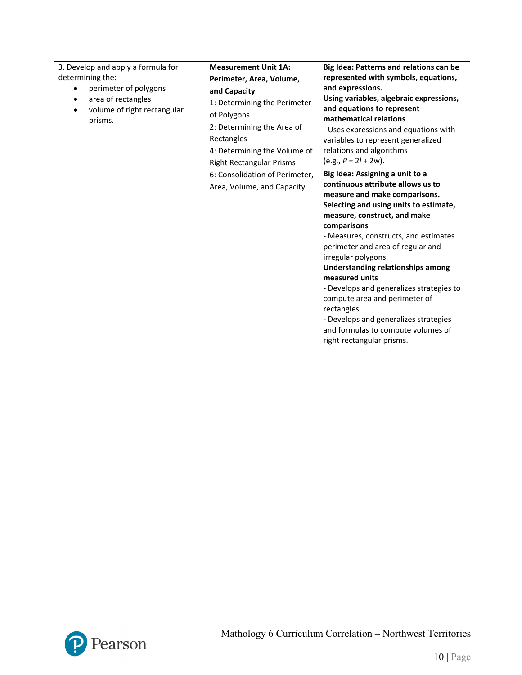| 3. Develop and apply a formula for | <b>Measurement Unit 1A:</b>     | Big Idea: Patterns and relations can be                              |
|------------------------------------|---------------------------------|----------------------------------------------------------------------|
| determining the:                   | Perimeter, Area, Volume,        | represented with symbols, equations,                                 |
| perimeter of polygons              | and Capacity                    | and expressions.                                                     |
| area of rectangles<br>$\bullet$    | 1: Determining the Perimeter    | Using variables, algebraic expressions,                              |
| volume of right rectangular        | of Polygons                     | and equations to represent                                           |
| prisms.                            | 2: Determining the Area of      | mathematical relations                                               |
|                                    | Rectangles                      | - Uses expressions and equations with                                |
|                                    |                                 | variables to represent generalized<br>relations and algorithms       |
|                                    | 4: Determining the Volume of    | $(e.g., P = 2I + 2w).$                                               |
|                                    | <b>Right Rectangular Prisms</b> |                                                                      |
|                                    | 6: Consolidation of Perimeter,  | Big Idea: Assigning a unit to a<br>continuous attribute allows us to |
|                                    | Area, Volume, and Capacity      | measure and make comparisons.                                        |
|                                    |                                 | Selecting and using units to estimate,                               |
|                                    |                                 | measure, construct, and make                                         |
|                                    |                                 | comparisons                                                          |
|                                    |                                 | - Measures, constructs, and estimates                                |
|                                    |                                 | perimeter and area of regular and                                    |
|                                    |                                 | irregular polygons.                                                  |
|                                    |                                 | Understanding relationships among                                    |
|                                    |                                 | measured units                                                       |
|                                    |                                 | - Develops and generalizes strategies to                             |
|                                    |                                 | compute area and perimeter of                                        |
|                                    |                                 | rectangles.                                                          |
|                                    |                                 | - Develops and generalizes strategies                                |
|                                    |                                 | and formulas to compute volumes of                                   |
|                                    |                                 | right rectangular prisms.                                            |
|                                    |                                 |                                                                      |

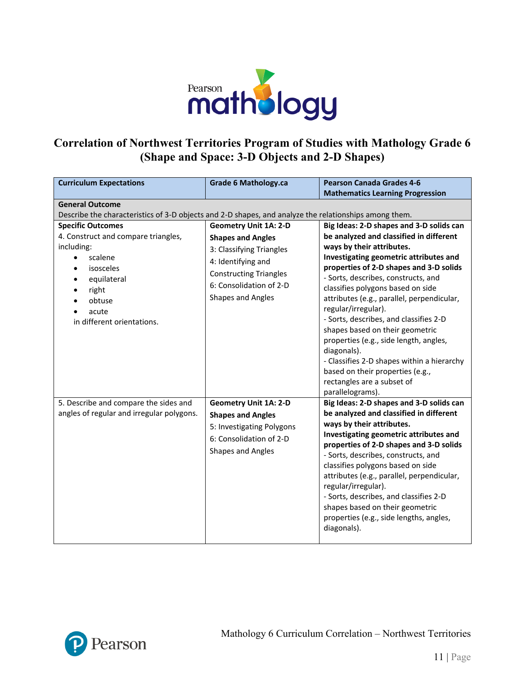

# **Correlation of Northwest Territories Program of Studies with Mathology Grade 6 (Shape and Space: 3-D Objects and 2-D Shapes)**

| <b>Curriculum Expectations</b>                                                                        | <b>Grade 6 Mathology.ca</b>   | <b>Pearson Canada Grades 4-6</b>                                               |
|-------------------------------------------------------------------------------------------------------|-------------------------------|--------------------------------------------------------------------------------|
|                                                                                                       |                               | <b>Mathematics Learning Progression</b>                                        |
| <b>General Outcome</b>                                                                                |                               |                                                                                |
| Describe the characteristics of 3-D objects and 2-D shapes, and analyze the relationships among them. |                               |                                                                                |
| <b>Specific Outcomes</b>                                                                              | <b>Geometry Unit 1A: 2-D</b>  | Big Ideas: 2-D shapes and 3-D solids can                                       |
| 4. Construct and compare triangles,                                                                   | <b>Shapes and Angles</b>      | be analyzed and classified in different                                        |
| including:                                                                                            | 3: Classifying Triangles      | ways by their attributes.                                                      |
| scalene                                                                                               | 4: Identifying and            | Investigating geometric attributes and                                         |
| isosceles                                                                                             | <b>Constructing Triangles</b> | properties of 2-D shapes and 3-D solids<br>- Sorts, describes, constructs, and |
| equilateral                                                                                           | 6: Consolidation of 2-D       | classifies polygons based on side                                              |
| right<br>obtuse                                                                                       | Shapes and Angles             | attributes (e.g., parallel, perpendicular,                                     |
| acute                                                                                                 |                               | regular/irregular).                                                            |
| in different orientations.                                                                            |                               | - Sorts, describes, and classifies 2-D                                         |
|                                                                                                       |                               | shapes based on their geometric                                                |
|                                                                                                       |                               | properties (e.g., side length, angles,                                         |
|                                                                                                       |                               | diagonals).                                                                    |
|                                                                                                       |                               | - Classifies 2-D shapes within a hierarchy                                     |
|                                                                                                       |                               | based on their properties (e.g.,                                               |
|                                                                                                       |                               | rectangles are a subset of                                                     |
|                                                                                                       |                               | parallelograms).                                                               |
| 5. Describe and compare the sides and                                                                 | <b>Geometry Unit 1A: 2-D</b>  | Big Ideas: 2-D shapes and 3-D solids can                                       |
| angles of regular and irregular polygons.                                                             | <b>Shapes and Angles</b>      | be analyzed and classified in different                                        |
|                                                                                                       | 5: Investigating Polygons     | ways by their attributes.<br>Investigating geometric attributes and            |
|                                                                                                       | 6: Consolidation of 2-D       | properties of 2-D shapes and 3-D solids                                        |
|                                                                                                       | Shapes and Angles             | - Sorts, describes, constructs, and                                            |
|                                                                                                       |                               | classifies polygons based on side                                              |
|                                                                                                       |                               | attributes (e.g., parallel, perpendicular,                                     |
|                                                                                                       |                               | regular/irregular).                                                            |
|                                                                                                       |                               | - Sorts, describes, and classifies 2-D                                         |
|                                                                                                       |                               | shapes based on their geometric                                                |
|                                                                                                       |                               | properties (e.g., side lengths, angles,                                        |
|                                                                                                       |                               | diagonals).                                                                    |
|                                                                                                       |                               |                                                                                |

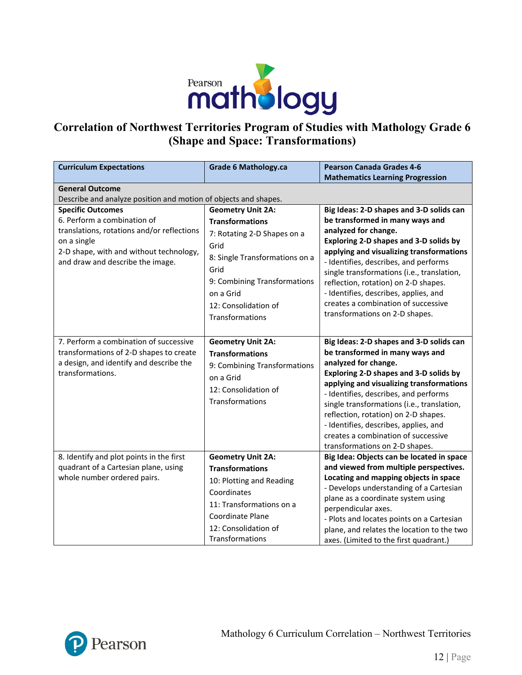

# **Correlation of Northwest Territories Program of Studies with Mathology Grade 6 (Shape and Space: Transformations)**

| <b>Curriculum Expectations</b>                                                                                                                                                                      | <b>Grade 6 Mathology.ca</b>                                                                                                                                                                                                 | <b>Pearson Canada Grades 4-6</b><br><b>Mathematics Learning Progression</b>                                                                                                                                                                                                                                                                                                                                                                |  |
|-----------------------------------------------------------------------------------------------------------------------------------------------------------------------------------------------------|-----------------------------------------------------------------------------------------------------------------------------------------------------------------------------------------------------------------------------|--------------------------------------------------------------------------------------------------------------------------------------------------------------------------------------------------------------------------------------------------------------------------------------------------------------------------------------------------------------------------------------------------------------------------------------------|--|
| <b>General Outcome</b><br>Describe and analyze position and motion of objects and shapes.                                                                                                           |                                                                                                                                                                                                                             |                                                                                                                                                                                                                                                                                                                                                                                                                                            |  |
| <b>Specific Outcomes</b><br>6. Perform a combination of<br>translations, rotations and/or reflections<br>on a single<br>2-D shape, with and without technology,<br>and draw and describe the image. | <b>Geometry Unit 2A:</b><br><b>Transformations</b><br>7: Rotating 2-D Shapes on a<br>Grid<br>8: Single Transformations on a<br>Grid<br>9: Combining Transformations<br>on a Grid<br>12: Consolidation of<br>Transformations | Big Ideas: 2-D shapes and 3-D solids can<br>be transformed in many ways and<br>analyzed for change.<br>Exploring 2-D shapes and 3-D solids by<br>applying and visualizing transformations<br>- Identifies, describes, and performs<br>single transformations (i.e., translation,<br>reflection, rotation) on 2-D shapes.<br>- Identifies, describes, applies, and<br>creates a combination of successive<br>transformations on 2-D shapes. |  |
| 7. Perform a combination of successive<br>transformations of 2-D shapes to create<br>a design, and identify and describe the<br>transformations.                                                    | <b>Geometry Unit 2A:</b><br><b>Transformations</b><br>9: Combining Transformations<br>on a Grid<br>12: Consolidation of<br>Transformations                                                                                  | Big Ideas: 2-D shapes and 3-D solids can<br>be transformed in many ways and<br>analyzed for change.<br>Exploring 2-D shapes and 3-D solids by<br>applying and visualizing transformations<br>- Identifies, describes, and performs<br>single transformations (i.e., translation,<br>reflection, rotation) on 2-D shapes.<br>- Identifies, describes, applies, and<br>creates a combination of successive<br>transformations on 2-D shapes. |  |
| 8. Identify and plot points in the first<br>quadrant of a Cartesian plane, using<br>whole number ordered pairs.                                                                                     | <b>Geometry Unit 2A:</b><br><b>Transformations</b><br>10: Plotting and Reading<br>Coordinates<br>11: Transformations on a<br><b>Coordinate Plane</b><br>12: Consolidation of<br>Transformations                             | Big Idea: Objects can be located in space<br>and viewed from multiple perspectives.<br>Locating and mapping objects in space<br>- Develops understanding of a Cartesian<br>plane as a coordinate system using<br>perpendicular axes.<br>- Plots and locates points on a Cartesian<br>plane, and relates the location to the two<br>axes. (Limited to the first quadrant.)                                                                  |  |

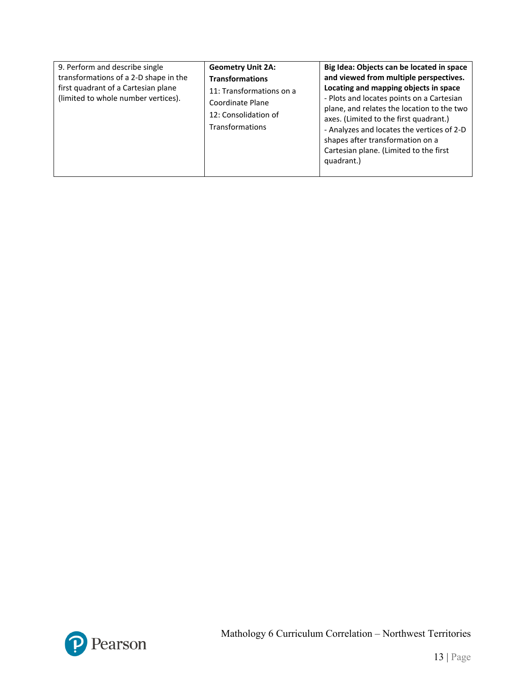| 9. Perform and describe single<br>transformations of a 2-D shape in the<br>first quadrant of a Cartesian plane<br>(limited to whole number vertices). | <b>Geometry Unit 2A:</b><br><b>Transformations</b><br>11: Transformations on a<br>Coordinate Plane<br>12: Consolidation of<br>Transformations | Big Idea: Objects can be located in space<br>and viewed from multiple perspectives.<br>Locating and mapping objects in space<br>- Plots and locates points on a Cartesian<br>plane, and relates the location to the two<br>axes. (Limited to the first quadrant.)<br>- Analyzes and locates the vertices of 2-D<br>shapes after transformation on a<br>Cartesian plane. (Limited to the first<br>quadrant.) |
|-------------------------------------------------------------------------------------------------------------------------------------------------------|-----------------------------------------------------------------------------------------------------------------------------------------------|-------------------------------------------------------------------------------------------------------------------------------------------------------------------------------------------------------------------------------------------------------------------------------------------------------------------------------------------------------------------------------------------------------------|
|-------------------------------------------------------------------------------------------------------------------------------------------------------|-----------------------------------------------------------------------------------------------------------------------------------------------|-------------------------------------------------------------------------------------------------------------------------------------------------------------------------------------------------------------------------------------------------------------------------------------------------------------------------------------------------------------------------------------------------------------|

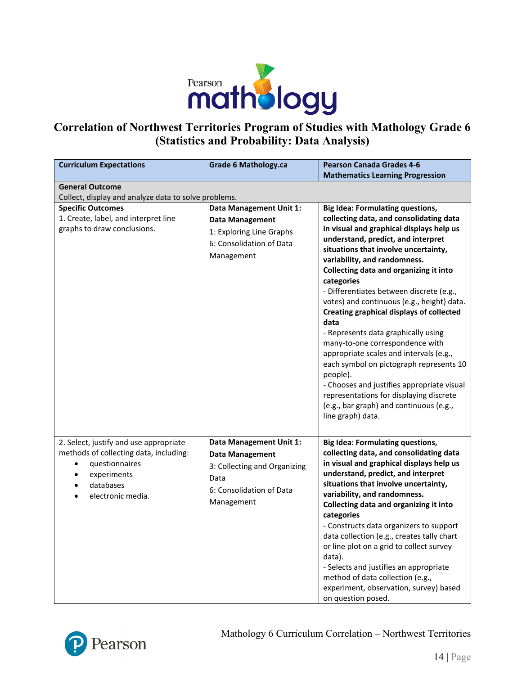

# **Correlation of Northwest Territories Program of Studies with Mathology Grade 6 (Statistics and Probability: Data Analysis)**

| <b>Curriculum Expectations</b>                                                                                                                      | <b>Grade 6 Mathology.ca</b>                                                                                                         | <b>Pearson Canada Grades 4-6</b><br><b>Mathematics Learning Progression</b>                                                                                                                                                                                                                                                                                                                                                                                                                                                                                                                                                                                                                                                                                                                    |  |  |
|-----------------------------------------------------------------------------------------------------------------------------------------------------|-------------------------------------------------------------------------------------------------------------------------------------|------------------------------------------------------------------------------------------------------------------------------------------------------------------------------------------------------------------------------------------------------------------------------------------------------------------------------------------------------------------------------------------------------------------------------------------------------------------------------------------------------------------------------------------------------------------------------------------------------------------------------------------------------------------------------------------------------------------------------------------------------------------------------------------------|--|--|
| <b>General Outcome</b><br>Collect, display and analyze data to solve problems.                                                                      |                                                                                                                                     |                                                                                                                                                                                                                                                                                                                                                                                                                                                                                                                                                                                                                                                                                                                                                                                                |  |  |
| <b>Specific Outcomes</b><br>1. Create, label, and interpret line<br>graphs to draw conclusions.                                                     | Data Management Unit 1:<br><b>Data Management</b><br>1: Exploring Line Graphs<br>6: Consolidation of Data<br>Management             | <b>Big Idea: Formulating questions,</b><br>collecting data, and consolidating data<br>in visual and graphical displays help us<br>understand, predict, and interpret<br>situations that involve uncertainty,<br>variability, and randomness.<br>Collecting data and organizing it into<br>categories<br>- Differentiates between discrete (e.g.,<br>votes) and continuous (e.g., height) data.<br><b>Creating graphical displays of collected</b><br>data<br>- Represents data graphically using<br>many-to-one correspondence with<br>appropriate scales and intervals (e.g.,<br>each symbol on pictograph represents 10<br>people).<br>- Chooses and justifies appropriate visual<br>representations for displaying discrete<br>(e.g., bar graph) and continuous (e.g.,<br>line graph) data. |  |  |
| 2. Select, justify and use appropriate<br>methods of collecting data, including:<br>questionnaires<br>experiments<br>databases<br>electronic media. | Data Management Unit 1:<br><b>Data Management</b><br>3: Collecting and Organizing<br>Data<br>6: Consolidation of Data<br>Management | <b>Big Idea: Formulating questions,</b><br>collecting data, and consolidating data<br>in visual and graphical displays help us<br>understand, predict, and interpret<br>situations that involve uncertainty,<br>variability, and randomness.<br>Collecting data and organizing it into<br>categories<br>- Constructs data organizers to support<br>data collection (e.g., creates tally chart<br>or line plot on a grid to collect survey<br>data).<br>- Selects and justifies an appropriate<br>method of data collection (e.g.,<br>experiment, observation, survey) based<br>on question posed.                                                                                                                                                                                              |  |  |

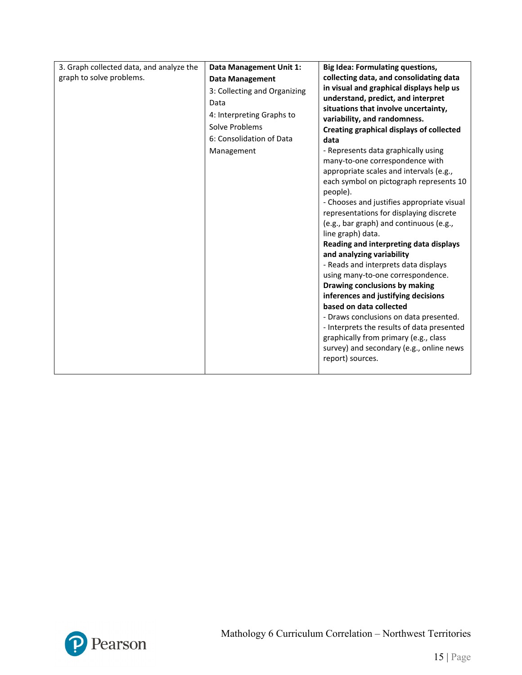| 3. Graph collected data, and analyze the | Data Management Unit 1:      | <b>Big Idea: Formulating questions,</b>                                                                                                                                                                                                                                                                                               |
|------------------------------------------|------------------------------|---------------------------------------------------------------------------------------------------------------------------------------------------------------------------------------------------------------------------------------------------------------------------------------------------------------------------------------|
| graph to solve problems.                 | <b>Data Management</b>       | collecting data, and consolidating data                                                                                                                                                                                                                                                                                               |
|                                          | 3: Collecting and Organizing | in visual and graphical displays help us                                                                                                                                                                                                                                                                                              |
|                                          | Data                         | understand, predict, and interpret                                                                                                                                                                                                                                                                                                    |
|                                          | 4: Interpreting Graphs to    | situations that involve uncertainty,                                                                                                                                                                                                                                                                                                  |
|                                          | Solve Problems               | variability, and randomness.                                                                                                                                                                                                                                                                                                          |
|                                          | 6: Consolidation of Data     | <b>Creating graphical displays of collected</b>                                                                                                                                                                                                                                                                                       |
|                                          |                              | data                                                                                                                                                                                                                                                                                                                                  |
|                                          | Management                   | - Represents data graphically using                                                                                                                                                                                                                                                                                                   |
|                                          |                              | many-to-one correspondence with                                                                                                                                                                                                                                                                                                       |
|                                          |                              | appropriate scales and intervals (e.g.,                                                                                                                                                                                                                                                                                               |
|                                          |                              | each symbol on pictograph represents 10                                                                                                                                                                                                                                                                                               |
|                                          |                              | people).                                                                                                                                                                                                                                                                                                                              |
|                                          |                              | - Chooses and justifies appropriate visual<br>representations for displaying discrete                                                                                                                                                                                                                                                 |
|                                          |                              |                                                                                                                                                                                                                                                                                                                                       |
|                                          |                              | (e.g., bar graph) and continuous (e.g.,                                                                                                                                                                                                                                                                                               |
|                                          |                              | line graph) data.<br>Reading and interpreting data displays                                                                                                                                                                                                                                                                           |
|                                          |                              | and analyzing variability                                                                                                                                                                                                                                                                                                             |
|                                          |                              | - Reads and interprets data displays                                                                                                                                                                                                                                                                                                  |
|                                          |                              |                                                                                                                                                                                                                                                                                                                                       |
|                                          |                              |                                                                                                                                                                                                                                                                                                                                       |
|                                          |                              |                                                                                                                                                                                                                                                                                                                                       |
|                                          |                              |                                                                                                                                                                                                                                                                                                                                       |
|                                          |                              |                                                                                                                                                                                                                                                                                                                                       |
|                                          |                              |                                                                                                                                                                                                                                                                                                                                       |
|                                          |                              |                                                                                                                                                                                                                                                                                                                                       |
|                                          |                              |                                                                                                                                                                                                                                                                                                                                       |
|                                          |                              |                                                                                                                                                                                                                                                                                                                                       |
|                                          |                              |                                                                                                                                                                                                                                                                                                                                       |
|                                          |                              | using many-to-one correspondence.<br>Drawing conclusions by making<br>inferences and justifying decisions<br>based on data collected<br>- Draws conclusions on data presented.<br>- Interprets the results of data presented<br>graphically from primary (e.g., class<br>survey) and secondary (e.g., online news<br>report) sources. |